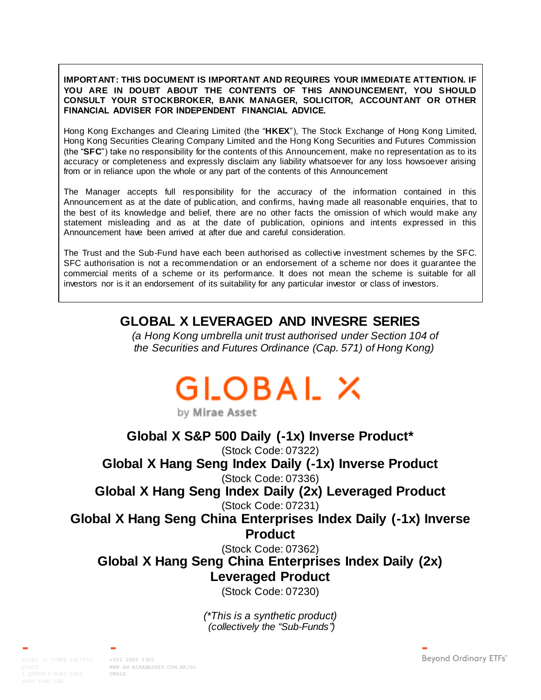**IMPORTANT: THIS DOCUMENT IS IMPORTANT AND REQUIRES YOUR IMMEDIATE ATTENTION. IF YOU ARE IN DOUBT ABOUT THE CONTENTS OF THIS ANNOUNCEMENT, YOU SHOULD CONSULT YOUR STOCKBROKER, BANK MANAGER, SOLICITOR, ACCOUNTANT OR OTHER FINANCIAL ADVISER FOR INDEPENDENT FINANCIAL ADVICE.**

Hong Kong Exchanges and Clearing Limited (the "**HKEX**"), The Stock Exchange of Hong Kong Limited, Hong Kong Securities Clearing Company Limited and the Hong Kong Securities and Futures Commission (the "**SFC**") take no responsibility for the contents of this Announcement, make no representation as to its accuracy or completeness and expressly disclaim any liability whatsoever for any loss howsoever arising from or in reliance upon the whole or any part of the contents of this Announcement

The Manager accepts full responsibility for the accuracy of the information contained in this Announcement as at the date of publication, and confirms, having made all reasonable enquiries, that to the best of its knowledge and belief, there are no other facts the omission of which would make any statement misleading and as at the date of publication, opinions and intents expressed in this Announcement have been arrived at after due and careful consideration.

The Trust and the Sub-Fund have each been authorised as collective investment schemes by the SFC. SFC authorisation is not a recommendation or an endorsement of a scheme nor does it guarantee the commercial merits of a scheme or its performance. It does not mean the scheme is suitable for all investors nor is it an endorsement of its suitability for any particular investor or class of investors.

## **GLOBAL X LEVERAGED AND INVESRE SERIES**

*(a Hong Kong umbrella unit trust authorised under Section 104 of the Securities and Futures Ordinance (Cap. 571) of Hong Kong)*

# GLOBAL X by Mirae Asset

**Global X S&P 500 Daily (-1x) Inverse Product\***  (Stock Code: 07322) **Global X Hang Seng Index Daily (-1x) Inverse Product**  (Stock Code: 07336)

**Global X Hang Seng Index Daily (2x) Leveraged Product**  (Stock Code: 07231)

**Global X Hang Seng China Enterprises Index Daily (-1x) Inverse Product** 

(Stock Code: 07362)

# **Global X Hang Seng China Enterprises Index Daily (2x) Leveraged Product**

(Stock Code: 07230)

*(\*This is a synthetic product) (collectively the "Sub-Funds")*

LEVEL 15 THREE PACIFIC **+852 2295 1500**

**[WWW.AM.MIRAEASSET.COM.HK/GL](http://www.am.miraeasset.com.hk/globalx) [OBALX](http://www.am.miraeasset.com.hk/globalx)**

Beyond Ordinary ETFs"